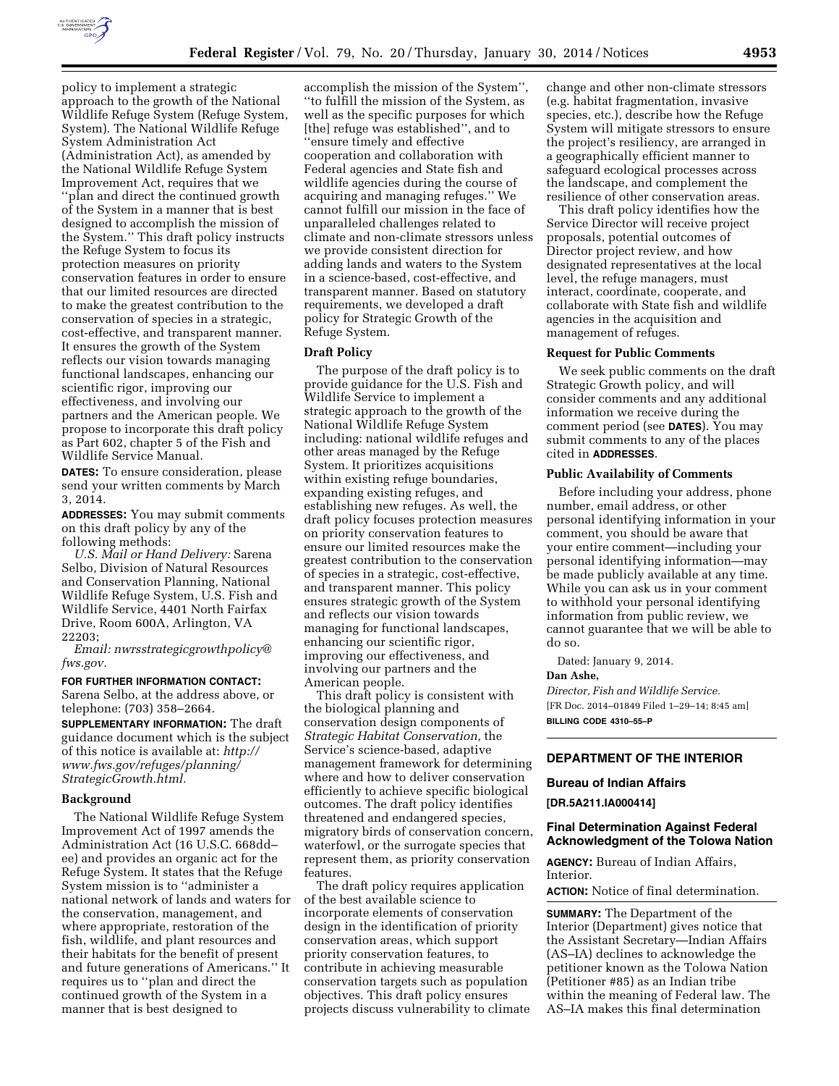

policy to implement a strategic approach to the growth of the National Wildlife Refuge System (Refuge System, System). The National Wildlife Refuge System Administration Act (Administration Act), as amended by the National Wildlife Refuge System Improvement Act, requires that we ''plan and direct the continued growth of the System in a manner that is best designed to accomplish the mission of the System.'' This draft policy instructs the Refuge System to focus its protection measures on priority conservation features in order to ensure that our limited resources are directed to make the greatest contribution to the conservation of species in a strategic, cost-effective, and transparent manner. It ensures the growth of the System reflects our vision towards managing functional landscapes, enhancing our scientific rigor, improving our effectiveness, and involving our partners and the American people. We propose to incorporate this draft policy as Part 602, chapter 5 of the Fish and Wildlife Service Manual.

**DATES:** To ensure consideration, please send your written comments by March 3, 2014.

**ADDRESSES:** You may submit comments on this draft policy by any of the following methods:

*U.S. Mail or Hand Delivery:* Sarena Selbo, Division of Natural Resources and Conservation Planning, National Wildlife Refuge System, U.S. Fish and Wildlife Service, 4401 North Fairfax Drive, Room 600A, Arlington, VA 22203;

*Email: [nwrsstrategicgrowthpolicy@](mailto:nwrsstrategicgrowthpolicy@fws.gov) [fws.gov.](mailto:nwrsstrategicgrowthpolicy@fws.gov)* 

### **FOR FURTHER INFORMATION CONTACT:**

Sarena Selbo, at the address above, or telephone: (703) 358–2664.

**SUPPLEMENTARY INFORMATION:** The draft guidance document which is the subject of this notice is available at: *[http://](http://www.fws.gov/refuges/planning/StrategicGrowth.html) [www.fws.gov/refuges/planning/](http://www.fws.gov/refuges/planning/StrategicGrowth.html) [StrategicGrowth.html.](http://www.fws.gov/refuges/planning/StrategicGrowth.html)* 

## **Background**

The National Wildlife Refuge System Improvement Act of 1997 amends the Administration Act (16 U.S.C. 668dd– ee) and provides an organic act for the Refuge System. It states that the Refuge System mission is to ''administer a national network of lands and waters for the conservation, management, and where appropriate, restoration of the fish, wildlife, and plant resources and their habitats for the benefit of present and future generations of Americans.'' It requires us to ''plan and direct the continued growth of the System in a manner that is best designed to

accomplish the mission of the System'', ''to fulfill the mission of the System, as well as the specific purposes for which [the] refuge was established'', and to ''ensure timely and effective cooperation and collaboration with Federal agencies and State fish and wildlife agencies during the course of acquiring and managing refuges.'' We cannot fulfill our mission in the face of unparalleled challenges related to climate and non-climate stressors unless we provide consistent direction for adding lands and waters to the System in a science-based, cost-effective, and transparent manner. Based on statutory requirements, we developed a draft policy for Strategic Growth of the Refuge System.

### **Draft Policy**

The purpose of the draft policy is to provide guidance for the U.S. Fish and Wildlife Service to implement a strategic approach to the growth of the National Wildlife Refuge System including: national wildlife refuges and other areas managed by the Refuge System. It prioritizes acquisitions within existing refuge boundaries, expanding existing refuges, and establishing new refuges. As well, the draft policy focuses protection measures on priority conservation features to ensure our limited resources make the greatest contribution to the conservation of species in a strategic, cost-effective, and transparent manner. This policy ensures strategic growth of the System and reflects our vision towards managing for functional landscapes, enhancing our scientific rigor, improving our effectiveness, and involving our partners and the American people.

This draft policy is consistent with the biological planning and conservation design components of *Strategic Habitat Conservation,* the Service's science-based, adaptive management framework for determining where and how to deliver conservation efficiently to achieve specific biological outcomes. The draft policy identifies threatened and endangered species, migratory birds of conservation concern, waterfowl, or the surrogate species that represent them, as priority conservation features.

The draft policy requires application of the best available science to incorporate elements of conservation design in the identification of priority conservation areas, which support priority conservation features, to contribute in achieving measurable conservation targets such as population objectives. This draft policy ensures projects discuss vulnerability to climate

change and other non-climate stressors (e.g. habitat fragmentation, invasive species, etc.), describe how the Refuge System will mitigate stressors to ensure the project's resiliency, are arranged in a geographically efficient manner to safeguard ecological processes across the landscape, and complement the resilience of other conservation areas.

This draft policy identifies how the Service Director will receive project proposals, potential outcomes of Director project review, and how designated representatives at the local level, the refuge managers, must interact, coordinate, cooperate, and collaborate with State fish and wildlife agencies in the acquisition and management of refuges.

### **Request for Public Comments**

We seek public comments on the draft Strategic Growth policy, and will consider comments and any additional information we receive during the comment period (see **DATES**). You may submit comments to any of the places cited in **ADDRESSES**.

### **Public Availability of Comments**

Before including your address, phone number, email address, or other personal identifying information in your comment, you should be aware that your entire comment—including your personal identifying information—may be made publicly available at any time. While you can ask us in your comment to withhold your personal identifying information from public review, we cannot guarantee that we will be able to do so.

Dated: January 9, 2014.

### **Dan Ashe,**

*Director, Fish and Wildlife Service.*  [FR Doc. 2014–01849 Filed 1–29–14; 8:45 am] **BILLING CODE 4310–55–P** 

### **DEPARTMENT OF THE INTERIOR**

## **Bureau of Indian Affairs**

## **[DR.5A211.IA000414]**

### **Final Determination Against Federal Acknowledgment of the Tolowa Nation**

**AGENCY:** Bureau of Indian Affairs, Interior.

**ACTION:** Notice of final determination.

**SUMMARY:** The Department of the Interior (Department) gives notice that the Assistant Secretary—Indian Affairs (AS–IA) declines to acknowledge the petitioner known as the Tolowa Nation (Petitioner #85) as an Indian tribe within the meaning of Federal law. The AS–IA makes this final determination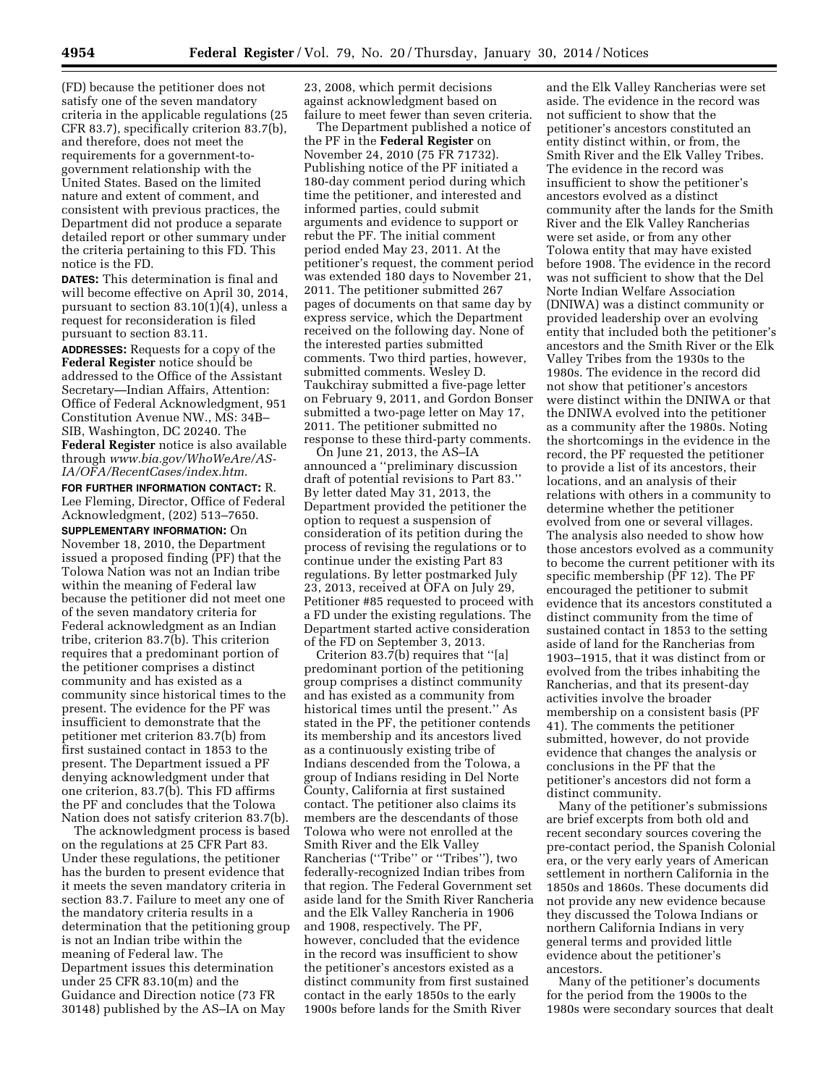(FD) because the petitioner does not satisfy one of the seven mandatory criteria in the applicable regulations (25 CFR 83.7), specifically criterion 83.7(b), and therefore, does not meet the requirements for a government-togovernment relationship with the United States. Based on the limited nature and extent of comment, and consistent with previous practices, the Department did not produce a separate detailed report or other summary under the criteria pertaining to this FD. This notice is the FD.

**DATES:** This determination is final and will become effective on April 30, 2014, pursuant to section 83.10(1)(4), unless a request for reconsideration is filed pursuant to section 83.11.

**ADDRESSES:** Requests for a copy of the **Federal Register** notice should be addressed to the Office of the Assistant Secretary—Indian Affairs, Attention: Office of Federal Acknowledgment, 951 Constitution Avenue NW., MS: 34B– SIB, Washington, DC 20240. The **Federal Register** notice is also available through *[www.bia.gov/WhoWeAre/AS-](http://www.bia.gov/WhoWeAre/AS-IA/OFA/RecentCases/index.htm)[IA/OFA/RecentCases/index.htm](http://www.bia.gov/WhoWeAre/AS-IA/OFA/RecentCases/index.htm)*.

**FOR FURTHER INFORMATION CONTACT:** R. Lee Fleming, Director, Office of Federal Acknowledgment, (202) 513–7650.

**SUPPLEMENTARY INFORMATION:** On November 18, 2010, the Department issued a proposed finding (PF) that the Tolowa Nation was not an Indian tribe within the meaning of Federal law because the petitioner did not meet one of the seven mandatory criteria for Federal acknowledgment as an Indian tribe, criterion 83.7(b). This criterion requires that a predominant portion of the petitioner comprises a distinct community and has existed as a community since historical times to the present. The evidence for the PF was insufficient to demonstrate that the petitioner met criterion 83.7(b) from first sustained contact in 1853 to the present. The Department issued a PF denying acknowledgment under that one criterion, 83.7(b). This FD affirms the PF and concludes that the Tolowa Nation does not satisfy criterion 83.7(b).

The acknowledgment process is based on the regulations at 25 CFR Part 83. Under these regulations, the petitioner has the burden to present evidence that it meets the seven mandatory criteria in section 83.7. Failure to meet any one of the mandatory criteria results in a determination that the petitioning group is not an Indian tribe within the meaning of Federal law. The Department issues this determination under 25 CFR 83.10(m) and the Guidance and Direction notice (73 FR 30148) published by the AS–IA on May

23, 2008, which permit decisions against acknowledgment based on failure to meet fewer than seven criteria.

The Department published a notice of the PF in the **Federal Register** on November 24, 2010 (75 FR 71732). Publishing notice of the PF initiated a 180-day comment period during which time the petitioner, and interested and informed parties, could submit arguments and evidence to support or rebut the PF. The initial comment period ended May 23, 2011. At the petitioner's request, the comment period was extended 180 days to November 21, 2011. The petitioner submitted 267 pages of documents on that same day by express service, which the Department received on the following day. None of the interested parties submitted comments. Two third parties, however, submitted comments. Wesley D. Taukchiray submitted a five-page letter on February 9, 2011, and Gordon Bonser submitted a two-page letter on May 17, 2011. The petitioner submitted no response to these third-party comments.

On June 21, 2013, the AS–IA announced a ''preliminary discussion draft of potential revisions to Part 83.'' By letter dated May 31, 2013, the Department provided the petitioner the option to request a suspension of consideration of its petition during the process of revising the regulations or to continue under the existing Part 83 regulations. By letter postmarked July 23, 2013, received at OFA on July 29, Petitioner #85 requested to proceed with a FD under the existing regulations. The Department started active consideration of the FD on September 3, 2013.

Criterion 83.7(b) requires that ''[a] predominant portion of the petitioning group comprises a distinct community and has existed as a community from historical times until the present.'' As stated in the PF, the petitioner contends its membership and its ancestors lived as a continuously existing tribe of Indians descended from the Tolowa, a group of Indians residing in Del Norte County, California at first sustained contact. The petitioner also claims its members are the descendants of those Tolowa who were not enrolled at the Smith River and the Elk Valley Rancherias (''Tribe'' or ''Tribes''), two federally-recognized Indian tribes from that region. The Federal Government set aside land for the Smith River Rancheria and the Elk Valley Rancheria in 1906 and 1908, respectively. The PF, however, concluded that the evidence in the record was insufficient to show the petitioner's ancestors existed as a distinct community from first sustained contact in the early 1850s to the early 1900s before lands for the Smith River

and the Elk Valley Rancherias were set aside. The evidence in the record was not sufficient to show that the petitioner's ancestors constituted an entity distinct within, or from, the Smith River and the Elk Valley Tribes. The evidence in the record was insufficient to show the petitioner's ancestors evolved as a distinct community after the lands for the Smith River and the Elk Valley Rancherias were set aside, or from any other Tolowa entity that may have existed before 1908. The evidence in the record was not sufficient to show that the Del Norte Indian Welfare Association (DNIWA) was a distinct community or provided leadership over an evolving entity that included both the petitioner's ancestors and the Smith River or the Elk Valley Tribes from the 1930s to the 1980s. The evidence in the record did not show that petitioner's ancestors were distinct within the DNIWA or that the DNIWA evolved into the petitioner as a community after the 1980s. Noting the shortcomings in the evidence in the record, the PF requested the petitioner to provide a list of its ancestors, their locations, and an analysis of their relations with others in a community to determine whether the petitioner evolved from one or several villages. The analysis also needed to show how those ancestors evolved as a community to become the current petitioner with its specific membership (PF 12). The PF encouraged the petitioner to submit evidence that its ancestors constituted a distinct community from the time of sustained contact in 1853 to the setting aside of land for the Rancherias from 1903–1915, that it was distinct from or evolved from the tribes inhabiting the Rancherias, and that its present-day activities involve the broader membership on a consistent basis (PF 41). The comments the petitioner submitted, however, do not provide evidence that changes the analysis or conclusions in the PF that the petitioner's ancestors did not form a distinct community.

Many of the petitioner's submissions are brief excerpts from both old and recent secondary sources covering the pre-contact period, the Spanish Colonial era, or the very early years of American settlement in northern California in the 1850s and 1860s. These documents did not provide any new evidence because they discussed the Tolowa Indians or northern California Indians in very general terms and provided little evidence about the petitioner's ancestors.

Many of the petitioner's documents for the period from the 1900s to the 1980s were secondary sources that dealt